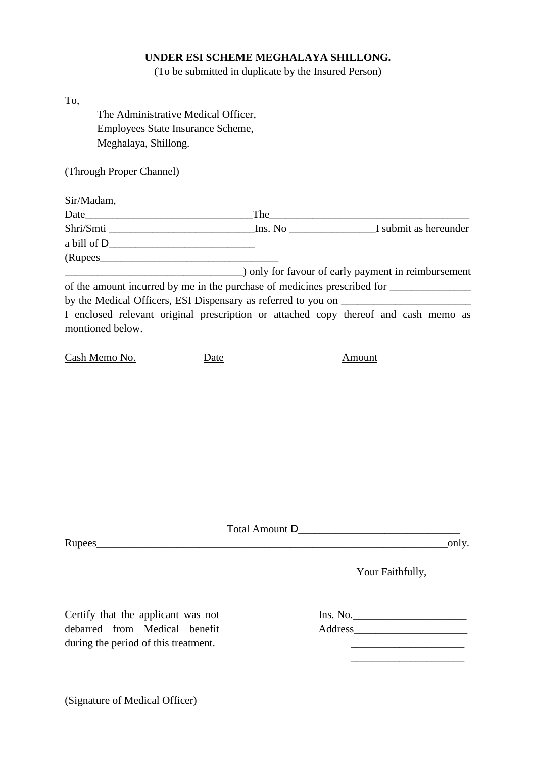## **UNDER ESI SCHEME MEGHALAYA SHILLONG.**

(To be submitted in duplicate by the Insured Person)

| To,                                                                                                     |      |        |  |
|---------------------------------------------------------------------------------------------------------|------|--------|--|
| The Administrative Medical Officer,                                                                     |      |        |  |
| Employees State Insurance Scheme,                                                                       |      |        |  |
| Meghalaya, Shillong.                                                                                    |      |        |  |
| (Through Proper Channel)                                                                                |      |        |  |
| Sir/Madam,                                                                                              |      |        |  |
|                                                                                                         |      |        |  |
|                                                                                                         |      |        |  |
|                                                                                                         |      |        |  |
| (Rupees                                                                                                 |      |        |  |
| and payment in reimbursement (a) only for favour of early payment in reimbursement                      |      |        |  |
|                                                                                                         |      |        |  |
|                                                                                                         |      |        |  |
| I enclosed relevant original prescription or attached copy thereof and cash memo as<br>montioned below. |      |        |  |
| <u>Cash Memo No.</u>                                                                                    | Date | Amount |  |
|                                                                                                         |      |        |  |

Total Amount D\_\_\_\_\_\_\_\_\_\_\_\_\_\_\_\_\_\_\_\_\_\_\_\_\_\_\_\_\_\_

Rupees\_\_\_\_\_\_\_\_\_\_\_\_\_\_\_\_\_\_\_\_\_\_\_\_\_\_\_\_\_\_\_\_\_\_\_\_\_\_\_\_\_\_\_\_\_\_\_\_\_\_\_\_\_\_\_\_\_\_\_\_\_\_\_\_\_only.

Your Faithfully,

Certify that the applicant was not debarred from Medical benefit during the period of this treatment.

Ins. No. Address\_\_\_\_\_\_\_\_\_\_\_\_\_\_\_\_\_\_\_\_\_

 $\mathcal{L}_\text{max}$ 

 $\mathcal{L}_\text{max}$ 

(Signature of Medical Officer)